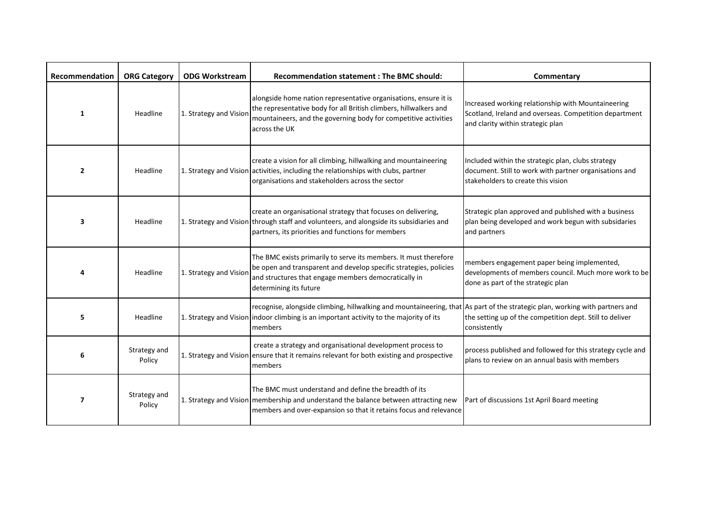| Recommendation          | <b>ORG Category</b>    | <b>ODG Workstream</b>  | <b>Recommendation statement: The BMC should:</b>                                                                                                                                                                                  | Commentary                                                                                                                                         |
|-------------------------|------------------------|------------------------|-----------------------------------------------------------------------------------------------------------------------------------------------------------------------------------------------------------------------------------|----------------------------------------------------------------------------------------------------------------------------------------------------|
| 1                       | Headline               | 1. Strategy and Vision | alongside home nation representative organisations, ensure it is<br>the representative body for all British climbers, hillwalkers and<br>mountaineers, and the governing body for competitive activities<br>across the UK         | Increased working relationship with Mountaineering<br>Scotland, Ireland and overseas. Competition department<br>and clarity within strategic plan  |
| 2                       | Headline               |                        | create a vision for all climbing, hillwalking and mountaineering<br>1. Strategy and Vision activities, including the relationships with clubs, partner<br>organisations and stakeholders across the sector                        | Included within the strategic plan, clubs strategy<br>document. Still to work with partner organisations and<br>stakeholders to create this vision |
| 3                       | Headline               |                        | create an organisational strategy that focuses on delivering,<br>1. Strategy and Vision through staff and volunteers, and alongside its subsidiaries and<br>partners, its priorities and functions for members                    | Strategic plan approved and published with a business<br>plan being developed and work begun with subsidaries<br>and partners                      |
| 4                       | Headline               | 1. Strategy and Vision | The BMC exists primarily to serve its members. It must therefore<br>be open and transparent and develop specific strategies, policies<br>and structures that engage members democratically in<br>determining its future           | members engagement paper being implemented,<br>developments of members council. Much more work to be<br>done as part of the strategic plan         |
| 5                       | Headline               |                        | recognise, alongside climbing, hillwalking and mountaineering, that As part of the strategic plan, working with partners and<br>1. Strategy and Vision indoor climbing is an important activity to the majority of its<br>members | the setting up of the competition dept. Still to deliver<br>consistently                                                                           |
| 6                       | Strategy and<br>Policy |                        | create a strategy and organisational development process to<br>1. Strategy and Vision ensure that it remains relevant for both existing and prospective<br>members                                                                | process published and followed for this strategy cycle and<br>plans to review on an annual basis with members                                      |
| $\overline{\mathbf{z}}$ | Strategy and<br>Policy |                        | The BMC must understand and define the breadth of its<br>1. Strategy and Vision membership and understand the balance between attracting new<br>members and over-expansion so that it retains focus and relevance                 | Part of discussions 1st April Board meeting                                                                                                        |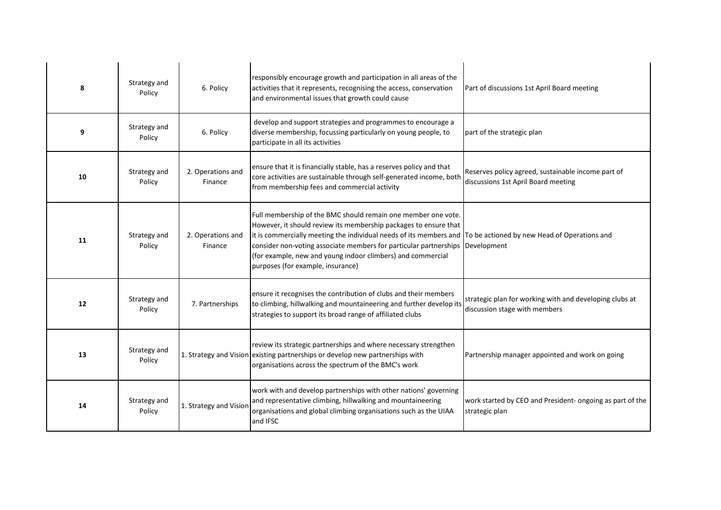| 8  | Strategy and<br>Policy | 6. Policy                    | responsibly encourage growth and participation in all areas of the<br>activities that it represents, recognising the access, conservation<br>and environmental issues that growth could cause                                                                                                                                                                                                                                             | Part of discussions 1st April Board meeting                                               |
|----|------------------------|------------------------------|-------------------------------------------------------------------------------------------------------------------------------------------------------------------------------------------------------------------------------------------------------------------------------------------------------------------------------------------------------------------------------------------------------------------------------------------|-------------------------------------------------------------------------------------------|
| 9  | Strategy and<br>Policy | 6. Policy                    | develop and support strategies and programmes to encourage a<br>diverse membership, focussing particularly on young people, to<br>participate in all its activities                                                                                                                                                                                                                                                                       | part of the strategic plan                                                                |
| 10 | Strategy and<br>Policy | 2. Operations and<br>Finance | ensure that it is financially stable, has a reserves policy and that<br>core activities are sustainable through self-generated income, both<br>from membership fees and commercial activity                                                                                                                                                                                                                                               | Reserves policy agreed, sustainable income part of<br>discussions 1st April Board meeting |
| 11 | Strategy and<br>Policy | 2. Operations and<br>Finance | Full membership of the BMC should remain one member one vote.<br>However, it should review its membership packages to ensure that<br>it is commercially meeting the individual needs of its members and To be actioned by new Head of Operations and<br>consider non-voting associate members for particular partnerships Development<br>(for example, new and young indoor climbers) and commercial<br>purposes (for example, insurance) |                                                                                           |
| 12 | Strategy and<br>Policy | 7. Partnerships              | ensure it recognises the contribution of clubs and their members<br>to climbing, hillwalking and mountaineering and further develop its<br>strategies to support its broad range of affiliated clubs                                                                                                                                                                                                                                      | strategic plan for working with and developing clubs at<br>discussion stage with members  |
| 13 | Strategy and<br>Policy |                              | review its strategic partnerships and where necessary strengthen<br>1. Strategy and Vision existing partnerships or develop new partnerships with<br>organisations across the spectrum of the BMC's work                                                                                                                                                                                                                                  | Partnership manager appointed and work on going                                           |
| 14 | Strategy and<br>Policy | 1. Strategy and Vision       | work with and develop partnerships with other nations' governing<br>and representative climbing, hillwalking and mountaineering<br>organisations and global climbing organisations such as the UIAA<br>and IFSC                                                                                                                                                                                                                           | work started by CEO and President- ongoing as part of the<br>strategic plan               |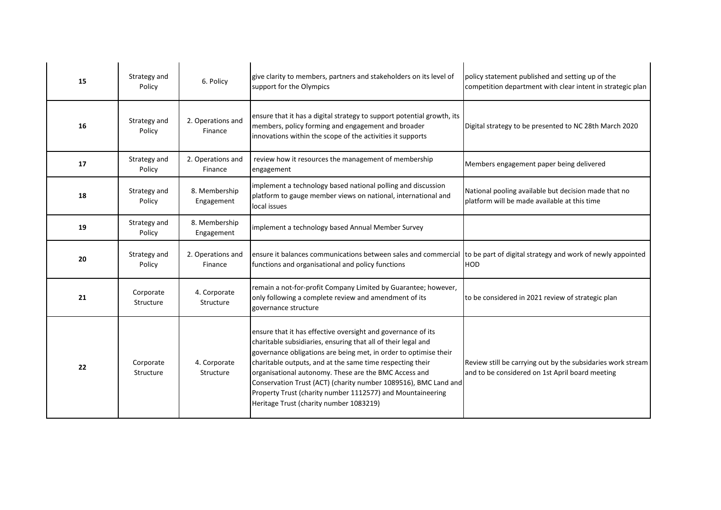| 15 | Strategy and<br>Policy | 6. Policy                    | give clarity to members, partners and stakeholders on its level of<br>support for the Olympics                                                                                                                                                                                                                                                                                                                                                                                                      | policy statement published and setting up of the<br>competition department with clear intent in strategic plan |
|----|------------------------|------------------------------|-----------------------------------------------------------------------------------------------------------------------------------------------------------------------------------------------------------------------------------------------------------------------------------------------------------------------------------------------------------------------------------------------------------------------------------------------------------------------------------------------------|----------------------------------------------------------------------------------------------------------------|
| 16 | Strategy and<br>Policy | 2. Operations and<br>Finance | ensure that it has a digital strategy to support potential growth, its<br>members, policy forming and engagement and broader<br>innovations within the scope of the activities it supports                                                                                                                                                                                                                                                                                                          | Digital strategy to be presented to NC 28th March 2020                                                         |
| 17 | Strategy and<br>Policy | 2. Operations and<br>Finance | review how it resources the management of membership<br>engagement                                                                                                                                                                                                                                                                                                                                                                                                                                  | Members engagement paper being delivered                                                                       |
| 18 | Strategy and<br>Policy | 8. Membership<br>Engagement  | implement a technology based national polling and discussion<br>platform to gauge member views on national, international and<br>local issues                                                                                                                                                                                                                                                                                                                                                       | National pooling available but decision made that no<br>Iplatform will be made available at this time          |
| 19 | Strategy and<br>Policy | 8. Membership<br>Engagement  | implement a technology based Annual Member Survey                                                                                                                                                                                                                                                                                                                                                                                                                                                   |                                                                                                                |
| 20 | Strategy and<br>Policy | 2. Operations and<br>Finance | ensure it balances communications between sales and commercial to be part of digital strategy and work of newly appointed<br>functions and organisational and policy functions                                                                                                                                                                                                                                                                                                                      | <b>HOD</b>                                                                                                     |
| 21 | Corporate<br>Structure | 4. Corporate<br>Structure    | remain a not-for-profit Company Limited by Guarantee; however,<br>only following a complete review and amendment of its<br>governance structure                                                                                                                                                                                                                                                                                                                                                     | to be considered in 2021 review of strategic plan                                                              |
| 22 | Corporate<br>Structure | 4. Corporate<br>Structure    | ensure that it has effective oversight and governance of its<br>charitable subsidiaries, ensuring that all of their legal and<br>governance obligations are being met, in order to optimise their<br>charitable outputs, and at the same time respecting their<br>organisational autonomy. These are the BMC Access and<br>Conservation Trust (ACT) (charity number 1089516), BMC Land and<br>Property Trust (charity number 1112577) and Mountaineering<br>Heritage Trust (charity number 1083219) | Review still be carrying out by the subsidaries work stream<br>and to be considered on 1st April board meeting |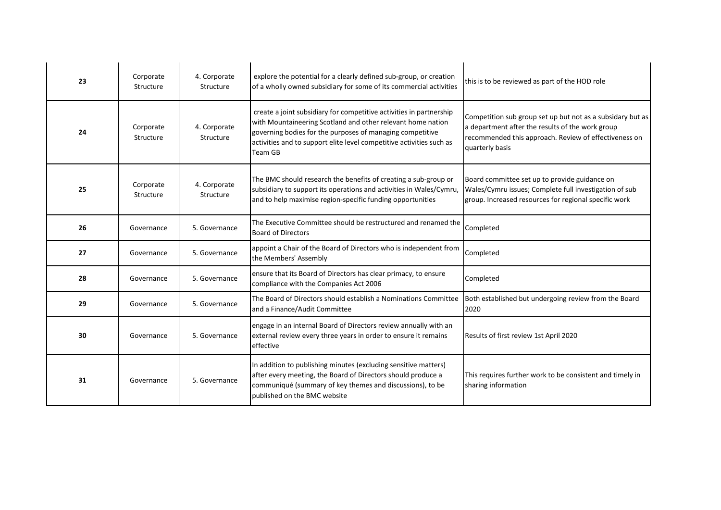| 23 | Corporate<br>Structure | 4. Corporate<br>Structure | explore the potential for a clearly defined sub-group, or creation<br>of a wholly owned subsidiary for some of its commercial activities                                                                                                                                           | this is to be reviewed as part of the HOD role                                                                                                                                             |
|----|------------------------|---------------------------|------------------------------------------------------------------------------------------------------------------------------------------------------------------------------------------------------------------------------------------------------------------------------------|--------------------------------------------------------------------------------------------------------------------------------------------------------------------------------------------|
| 24 | Corporate<br>Structure | 4. Corporate<br>Structure | create a joint subsidiary for competitive activities in partnership<br>with Mountaineering Scotland and other relevant home nation<br>governing bodies for the purposes of managing competitive<br>activities and to support elite level competitive activities such as<br>Team GB | Competition sub group set up but not as a subsidary but as<br>a department after the results of the work group<br>recommended this approach. Review of effectiveness on<br>quarterly basis |
| 25 | Corporate<br>Structure | 4. Corporate<br>Structure | The BMC should research the benefits of creating a sub-group or<br>subsidiary to support its operations and activities in Wales/Cymru,<br>and to help maximise region-specific funding opportunities                                                                               | Board committee set up to provide guidance on<br>Wales/Cymru issues; Complete full investigation of sub<br>group. Increased resources for regional specific work                           |
| 26 | Governance             | 5. Governance             | The Executive Committee should be restructured and renamed the<br><b>Board of Directors</b>                                                                                                                                                                                        | Completed                                                                                                                                                                                  |
| 27 | Governance             | 5. Governance             | appoint a Chair of the Board of Directors who is independent from<br>the Members' Assembly                                                                                                                                                                                         | Completed                                                                                                                                                                                  |
| 28 | Governance             | 5. Governance             | ensure that its Board of Directors has clear primacy, to ensure<br>compliance with the Companies Act 2006                                                                                                                                                                          | Completed                                                                                                                                                                                  |
| 29 | Governance             | 5. Governance             | The Board of Directors should establish a Nominations Committee<br>and a Finance/Audit Committee                                                                                                                                                                                   | Both established but undergoing review from the Board<br>2020                                                                                                                              |
| 30 | Governance             | 5. Governance             | engage in an internal Board of Directors review annually with an<br>external review every three years in order to ensure it remains<br>effective                                                                                                                                   | Results of first review 1st April 2020                                                                                                                                                     |
| 31 | Governance             | 5. Governance             | In addition to publishing minutes (excluding sensitive matters)<br>after every meeting, the Board of Directors should produce a<br>communiqué (summary of key themes and discussions), to be<br>published on the BMC website                                                       | This requires further work to be consistent and timely in<br>sharing information                                                                                                           |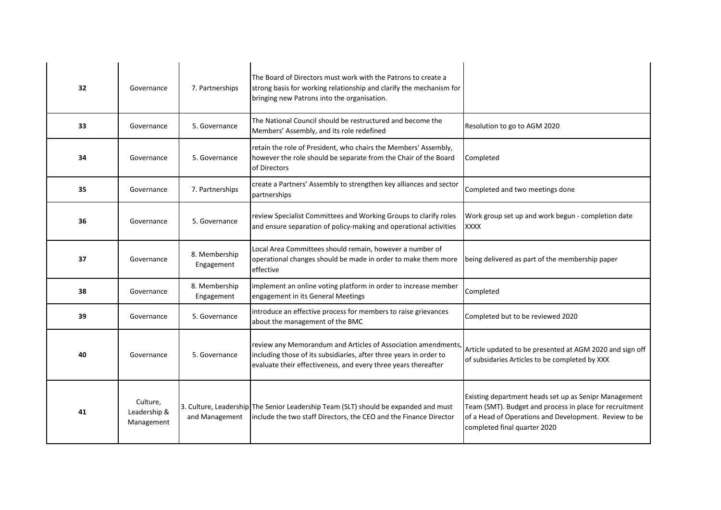| 32 | Governance                             | 7. Partnerships             | The Board of Directors must work with the Patrons to create a<br>strong basis for working relationship and clarify the mechanism for<br>bringing new Patrons into the organisation.                   |                                                                                                                                                                                                           |
|----|----------------------------------------|-----------------------------|-------------------------------------------------------------------------------------------------------------------------------------------------------------------------------------------------------|-----------------------------------------------------------------------------------------------------------------------------------------------------------------------------------------------------------|
| 33 | Governance                             | 5. Governance               | The National Council should be restructured and become the<br>Members' Assembly, and its role redefined                                                                                               | Resolution to go to AGM 2020                                                                                                                                                                              |
| 34 | Governance                             | 5. Governance               | retain the role of President, who chairs the Members' Assembly,<br>however the role should be separate from the Chair of the Board<br>of Directors                                                    | Completed                                                                                                                                                                                                 |
| 35 | Governance                             | 7. Partnerships             | create a Partners' Assembly to strengthen key alliances and sector<br>partnerships                                                                                                                    | Completed and two meetings done                                                                                                                                                                           |
| 36 | Governance                             | 5. Governance               | review Specialist Committees and Working Groups to clarify roles<br>and ensure separation of policy-making and operational activities                                                                 | Work group set up and work begun - completion date<br><b>XXXX</b>                                                                                                                                         |
| 37 | Governance                             | 8. Membership<br>Engagement | Local Area Committees should remain, however a number of<br>operational changes should be made in order to make them more<br>effective                                                                | being delivered as part of the membership paper                                                                                                                                                           |
| 38 | Governance                             | 8. Membership<br>Engagement | implement an online voting platform in order to increase member<br>engagement in its General Meetings                                                                                                 | Completed                                                                                                                                                                                                 |
| 39 | Governance                             | 5. Governance               | introduce an effective process for members to raise grievances<br>about the management of the BMC                                                                                                     | Completed but to be reviewed 2020                                                                                                                                                                         |
| 40 | Governance                             | 5. Governance               | review any Memorandum and Articles of Association amendments,<br>including those of its subsidiaries, after three years in order to<br>evaluate their effectiveness, and every three years thereafter | Article updated to be presented at AGM 2020 and sign off<br>of subsidaries Articles to be completed by XXX                                                                                                |
| 41 | Culture,<br>Leadership &<br>Management | and Management              | 3. Culture, Leadership The Senior Leadership Team (SLT) should be expanded and must<br>include the two staff Directors, the CEO and the Finance Director                                              | Existing department heads set up as Senipr Management<br>Team (SMT). Budget and process in place for recruitment<br>of a Head of Operations and Development. Review to be<br>completed final quarter 2020 |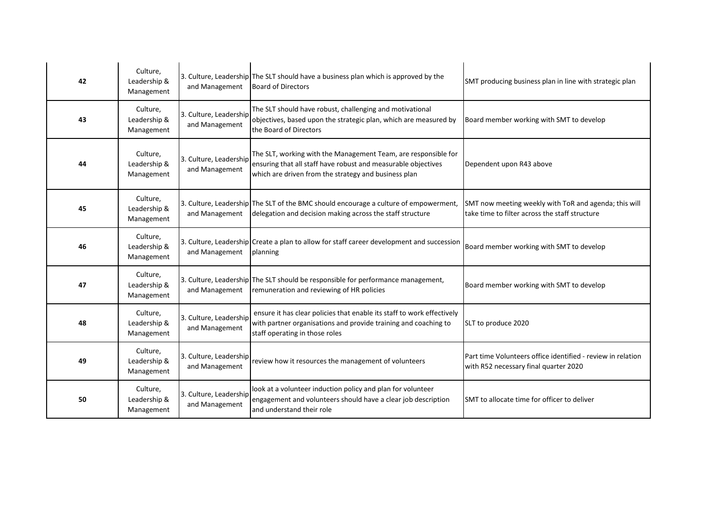| 42 | Culture,<br>Leadership &<br>Management | and Management                           | 3. Culture, Leadership The SLT should have a business plan which is approved by the<br><b>Board of Directors</b>                                                                        | SMT producing business plan in line with strategic plan                                                 |
|----|----------------------------------------|------------------------------------------|-----------------------------------------------------------------------------------------------------------------------------------------------------------------------------------------|---------------------------------------------------------------------------------------------------------|
| 43 | Culture,<br>Leadership &<br>Management | 3. Culture, Leadership<br>and Management | The SLT should have robust, challenging and motivational<br>objectives, based upon the strategic plan, which are measured by<br>the Board of Directors                                  | Board member working with SMT to develop                                                                |
| 44 | Culture,<br>Leadership &<br>Management | 3. Culture, Leadership<br>and Management | The SLT, working with the Management Team, are responsible for<br>ensuring that all staff have robust and measurable objectives<br>which are driven from the strategy and business plan | Dependent upon R43 above                                                                                |
| 45 | Culture,<br>Leadership &<br>Management | and Management                           | 3. Culture, Leadership The SLT of the BMC should encourage a culture of empowerment,<br>delegation and decision making across the staff structure                                       | SMT now meeting weekly with ToR and agenda; this will<br>take time to filter across the staff structure |
| 46 | Culture,<br>Leadership &<br>Management | and Management                           | 3. Culture, Leadership Create a plan to allow for staff career development and succession<br>planning                                                                                   | Board member working with SMT to develop                                                                |
| 47 | Culture,<br>Leadership &<br>Management | and Management                           | 3. Culture, Leadership The SLT should be responsible for performance management,<br>remuneration and reviewing of HR policies                                                           | Board member working with SMT to develop                                                                |
| 48 | Culture,<br>Leadership &<br>Management | 3. Culture, Leadership<br>and Management | ensure it has clear policies that enable its staff to work effectively<br>with partner organisations and provide training and coaching to<br>staff operating in those roles             | SLT to produce 2020                                                                                     |
| 49 | Culture,<br>Leadership &<br>Management | 3. Culture, Leadership<br>and Management | review how it resources the management of volunteers                                                                                                                                    | Part time Volunteers office identified - review in relation<br>with R52 necessary final quarter 2020    |
| 50 | Culture,<br>Leadership &<br>Management | 3. Culture, Leadership<br>and Management | look at a volunteer induction policy and plan for volunteer<br>engagement and volunteers should have a clear job description<br>and understand their role                               | <b>SMT</b> to allocate time for officer to deliver                                                      |